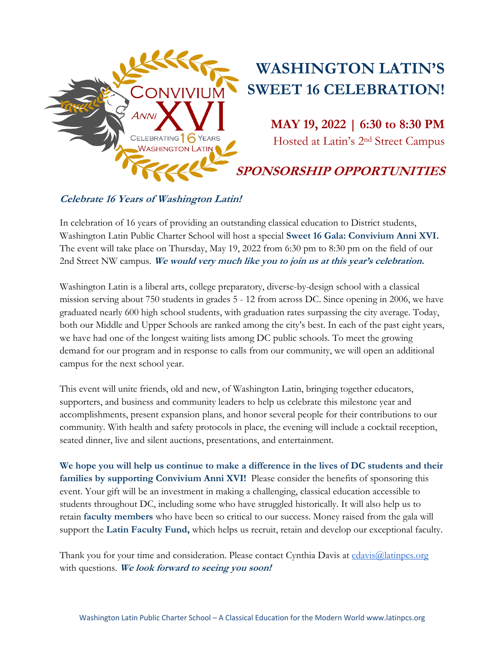

# **Celebrate 16 Years of Washington Latin!**

In celebration of 16 years of providing an outstanding classical education to District students, Washington Latin Public Charter School will host a special **Sweet 16 Gala: Convivium Anni XVI.**  The event will take place on Thursday, May 19, 2022 from 6:30 pm to 8:30 pm on the field of our 2nd Street NW campus. **We would very much like you to join us at this year's celebration.**

Washington Latin is a liberal arts, college preparatory, diverse-by-design school with a classical mission serving about 750 students in grades 5 - 12 from across DC. Since opening in 2006, we have graduated nearly 600 high school students, with graduation rates surpassing the city average. Today, both our Middle and Upper Schools are ranked among the city's best. In each of the past eight years, we have had one of the longest waiting lists among DC public schools. To meet the growing demand for our program and in response to calls from our community, we will open an additional campus for the next school year.

This event will unite friends, old and new, of Washington Latin, bringing together educators, supporters, and business and community leaders to help us celebrate this milestone year and accomplishments, present expansion plans, and honor several people for their contributions to our community. With health and safety protocols in place, the evening will include a cocktail reception, seated dinner, live and silent auctions, presentations, and entertainment.

**We hope you will help us continue to make a difference in the lives of DC students and their families by supporting Convivium Anni XVI!** Please consider the benefits of sponsoring this event. Your gift will be an investment in making a challenging, classical education accessible to students throughout DC, including some who have struggled historically. It will also help us to retain **faculty members** who have been so critical to our success. Money raised from the gala will support the **Latin Faculty Fund,** which helps us recruit, retain and develop our exceptional faculty.

Thank you for your time and consideration. Please contact Cynthia Davis at cdavis@latinpcs.org with questions. **We look forward to seeing you soon!**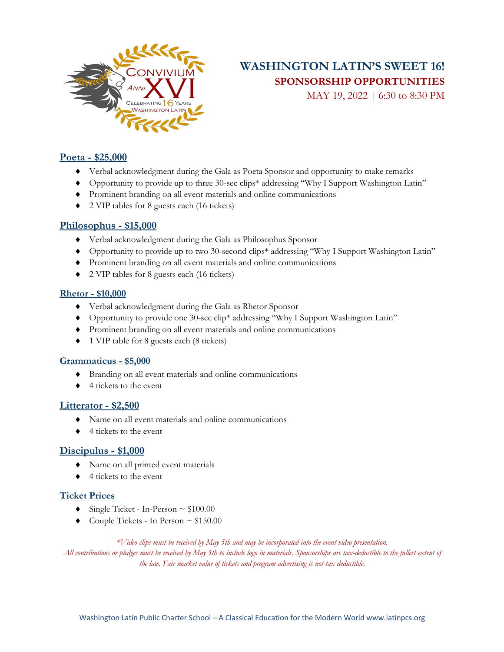

# **WASHINGTON LATIN'S SWEET 16! SPONSORSHIP OPPORTUNITIES**

MAY 19, 2022 | 6:30 to 8:30 PM

### **Poeta - \$25,000**

- ¨ Verbal acknowledgment during the Gala as Poeta Sponsor and opportunity to make remarks
- ◆ Opportunity to provide up to three 30-sec clips\* addressing "Why I Support Washington Latin"
- $\blacklozenge$  Prominent branding on all event materials and online communications
- ¨ 2 VIP tables for 8 guests each (16 tickets)

### **Philosophus - \$15,000**

- ¨ Verbal acknowledgment during the Gala as Philosophus Sponsor
- ¨ Opportunity to provide up to two 30-second clips\* addressing "Why I Support Washington Latin"
- ¨ Prominent branding on all event materials and online communications
- ¨ 2 VIP tables for 8 guests each (16 tickets)

#### **Rhetor - \$10,000**

- ¨ Verbal acknowledgment during the Gala as Rhetor Sponsor
- ◆ Opportunity to provide one 30-sec clip<sup>\*</sup> addressing "Why I Support Washington Latin"
- ¨ Prominent branding on all event materials and online communications
- 1 VIP table for 8 guests each (8 tickets)

#### **Grammaticus - \$5,000**

- ¨ Branding on all event materials and online communications
- $\triangleleft$  4 tickets to the event

### **Litterator - \$2,500**

- $\blacklozenge$  Name on all event materials and online communications
- $\triangleleft$  4 tickets to the event

## **Discipulus - \$1,000**

- Name on all printed event materials
- $\triangleleft$  4 tickets to the event

### **Ticket Prices**

- Single Ticket In-Person  $\sim $100.00$
- $\bullet$  Couple Tickets In Person  $\sim $150.00$

#### *\*Video clips must be received by May 5th and may be incorporated into the event video presentation.*

*All contributions or pledges must be received by May 5th to include logo in materials. Sponsorships are tax-deductible to the fullest extent of the law. Fair market value of tickets and program advertising is not tax deductible.*